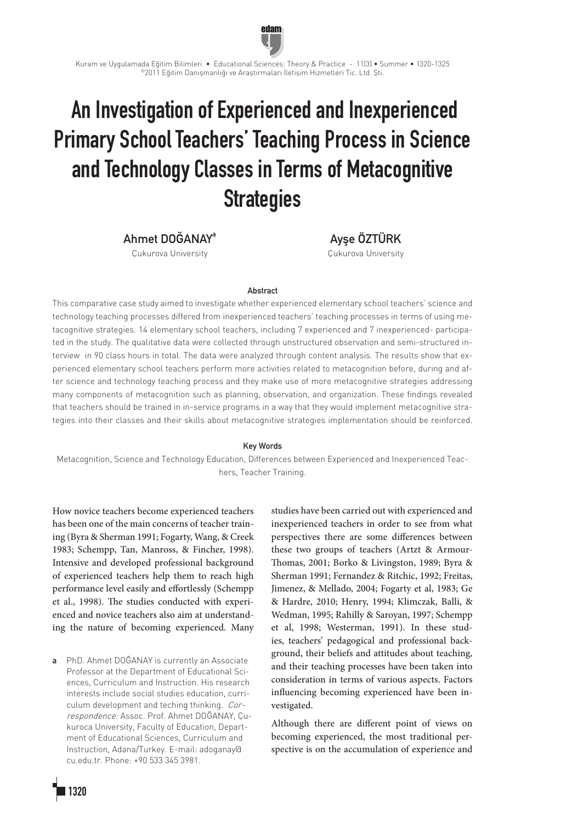# An Investigation of Experienced and Inexperienced Primary School Teachers' Teaching Process in Science and Technology Classes in Terms of Metacognitive **Strategies**

Kuram ve Uygulamada Eğitim Bilimleri • Educational Sciences: Theory & Practice - 11(3) • Summer • 1320-1325 ©2011 Eğitim Danışmanlığı ve Araştırmaları İletişim Hizmetleri Tic. Ltd. Şti.

edam

Ahmet DOĞANAYa

Çukurova University

Ayşe ÖZTÜRK Çukurova University

#### **Abstract**

This comparative case study aimed to investigate whether experienced elementary school teachers' science and technology teaching processes differed from inexperienced teachers' teaching processes in terms of using metacognitive strategies. 14 elementary school teachers, including 7 experienced and 7 inexperienced- participated in the study. The qualitative data were collected through unstructured observation and semi-structured interview in 90 class hours in total. The data were analyzed through content analysis. The results show that experienced elementary school teachers perform more activities related to metacognition before, during and after science and technology teaching process and they make use of more metacognitive strategies addressing many components of metacognition such as planning, observation, and organization. These findings revealed that teachers should be trained in in-service programs in a way that they would implement metacognitive strategies into their classes and their skills about metacognitive strategies implementation should be reinforced.

#### Key Words

Metacognition, Science and Technology Education, Differences between Experienced and Inexperienced Teachers, Teacher Training.

How novice teachers become experienced teachers has been one of the main concerns of teacher training (Byra & Sherman 1991; Fogarty, Wang, & Creek 1983; Schempp, Tan, Manross, & Fincher, 1998). Intensive and developed professional background of experienced teachers help them to reach high performance level easily and effortlessly (Schempp et al., 1998). The studies conducted with experienced and novice teachers also aim at understanding the nature of becoming experienced. Many

a PhD. Ahmet DOĞANAY is currently an Associate Professor at the Department of Educational Sciences, Curriculum and Instruction. His research interests include social studies education, curriculum development and teching thinking. Correspondence: Assoc. Prof. Ahmet DOĞANAY, Çukuroca University, Faculty of Education, Department of Educational Sciences, Curriculum and Instruction, Adana/Turkey. E-mail: adoganay@ cu.edu.tr. Phone: +90 533 345 3981.

studies have been carried out with experienced and inexperienced teachers in order to see from what perspectives there are some differences between these two groups of teachers (Artzt & Armour-Thomas, 2001; Borko & Livingston, 1989; Byra & Sherman 1991; Fernandez & Ritchic, 1992; Freitas, Jimenez, & Mellado, 2004; Fogarty et al, 1983; Ge & Hardre, 2010; Henry, 1994; Klimczak, Balli, & Wedman, 1995; Rahilly & Saroyan, 1997; Schempp et al, 1998; Westerman, 1991). In these studies, teachers' pedagogical and professional background, their beliefs and attitudes about teaching, and their teaching processes have been taken into consideration in terms of various aspects. Factors influencing becoming experienced have been investigated.

Although there are different point of views on becoming experienced, the most traditional perspective is on the accumulation of experience and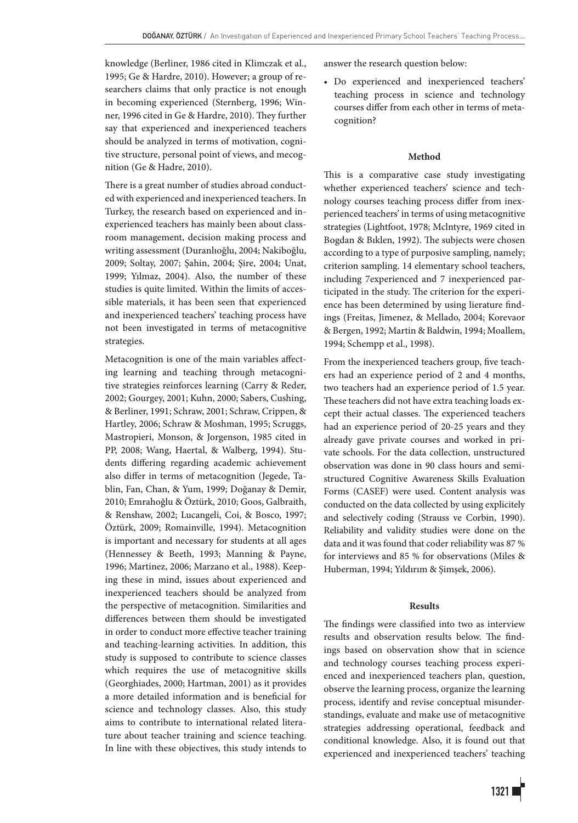knowledge (Berliner, 1986 cited in Klimczak et al., 1995; Ge & Hardre, 2010). However; a group of researchers claims that only practice is not enough in becoming experienced (Sternberg, 1996; Winner, 1996 cited in Ge & Hardre, 2010). They further say that experienced and inexperienced teachers should be analyzed in terms of motivation, cognitive structure, personal point of views, and mecognition (Ge & Hadre, 2010).

There is a great number of studies abroad conducted with experienced and inexperienced teachers. In Turkey, the research based on experienced and inexperienced teachers has mainly been about classroom management, decision making process and writing assessment (Duranlıoğlu, 2004; Nakiboğlu, 2009; Soltay, 2007; Şahin, 2004; Şire, 2004; Unat, 1999; Yılmaz, 2004). Also, the number of these studies is quite limited. Within the limits of accessible materials, it has been seen that experienced and inexperienced teachers' teaching process have not been investigated in terms of metacognitive strategies.

Metacognition is one of the main variables affecting learning and teaching through metacognitive strategies reinforces learning (Carry & Reder, 2002; Gourgey, 2001; Kuhn, 2000; Sabers, Cushing, & Berliner, 1991; Schraw, 2001; Schraw, Crippen, & Hartley, 2006; Schraw & Moshman, 1995; Scruggs, Mastropieri, Monson, & Jorgenson, 1985 cited in PP, 2008; Wang, Haertal, & Walberg, 1994). Students differing regarding academic achievement also differ in terms of metacognition (Jegede, Tablin, Fan, Chan, & Yum, 1999; Doğanay & Demir, 2010; Emrahoğlu & Öztürk, 2010; Goos, Galbraith, & Renshaw, 2002; Lucangeli, Coi, & Bosco, 1997; Öztürk, 2009; Romainville, 1994). Metacognition is important and necessary for students at all ages (Hennessey & Beeth, 1993; Manning & Payne, 1996; Martinez, 2006; Marzano et al., 1988). Keeping these in mind, issues about experienced and inexperienced teachers should be analyzed from the perspective of metacognition. Similarities and differences between them should be investigated in order to conduct more effective teacher training and teaching-learning activities. In addition, this study is supposed to contribute to science classes which requires the use of metacognitive skills (Georghiades, 2000; Hartman, 2001) as it provides a more detailed information and is beneficial for science and technology classes. Also, this study aims to contribute to international related literature about teacher training and science teaching. In line with these objectives, this study intends to answer the research question below:

• Do experienced and inexperienced teachers' teaching process in science and technology courses differ from each other in terms of metacognition?

## **Method**

This is a comparative case study investigating whether experienced teachers' science and technology courses teaching process differ from inexperienced teachers' in terms of using metacognitive strategies (Lightfoot, 1978; Mclntyre, 1969 cited in Bogdan & Bıklen, 1992). The subjects were chosen according to a type of purposive sampling, namely; criterion sampling. 14 elementary school teachers, including 7experienced and 7 inexperienced participated in the study. The criterion for the experience has been determined by using lierature findings (Freitas, Jimenez, & Mellado, 2004; Korevaor & Bergen, 1992; Martin & Baldwin, 1994; Moallem, 1994; Schempp et al., 1998).

From the inexperienced teachers group, five teachers had an experience period of 2 and 4 months, two teachers had an experience period of 1.5 year. These teachers did not have extra teaching loads except their actual classes. The experienced teachers had an experience period of 20-25 years and they already gave private courses and worked in private schools. For the data collection, unstructured observation was done in 90 class hours and semistructured Cognitive Awareness Skills Evaluation Forms (CASEF) were used. Content analysis was conducted on the data collected by using explicitely and selectively coding (Strauss ve Corbin, 1990). Reliability and validity studies were done on the data and it was found that coder reliability was 87 % for interviews and 85 % for observations (Miles & Huberman, 1994; Yıldırım & Şimşek, 2006).

## **Results**

The findings were classified into two as interview results and observation results below. The findings based on observation show that in science and technology courses teaching process experienced and inexperienced teachers plan, question, observe the learning process, organize the learning process, identify and revise conceptual misunderstandings, evaluate and make use of metacognitive strategies addressing operational, feedback and conditional knowledge. Also, it is found out that experienced and inexperienced teachers' teaching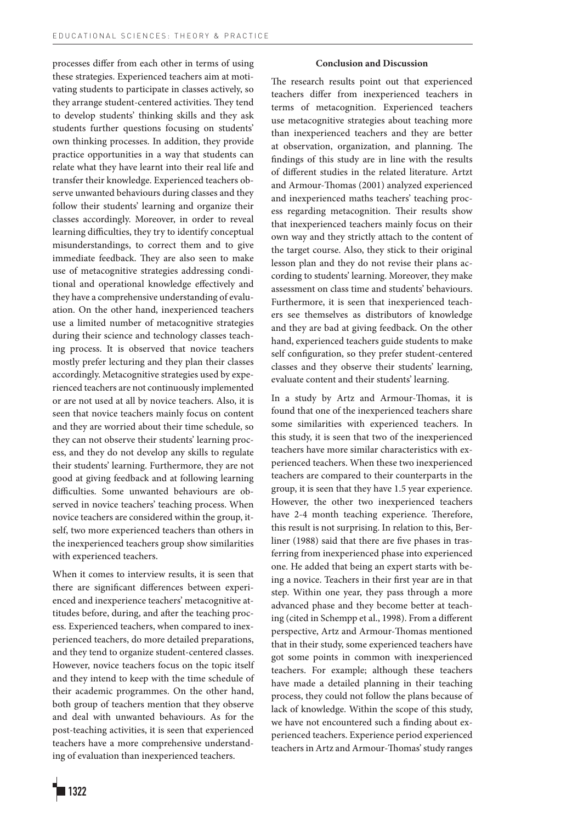processes differ from each other in terms of using these strategies. Experienced teachers aim at motivating students to participate in classes actively, so they arrange student-centered activities. They tend to develop students' thinking skills and they ask students further questions focusing on students' own thinking processes. In addition, they provide practice opportunities in a way that students can relate what they have learnt into their real life and transfer their knowledge. Experienced teachers observe unwanted behaviours during classes and they follow their students' learning and organize their classes accordingly. Moreover, in order to reveal learning difficulties, they try to identify conceptual misunderstandings, to correct them and to give immediate feedback. They are also seen to make use of metacognitive strategies addressing conditional and operational knowledge effectively and they have a comprehensive understanding of evaluation. On the other hand, inexperienced teachers use a limited number of metacognitive strategies during their science and technology classes teaching process. It is observed that novice teachers mostly prefer lecturing and they plan their classes accordingly. Metacognitive strategies used by experienced teachers are not continuously implemented or are not used at all by novice teachers. Also, it is seen that novice teachers mainly focus on content and they are worried about their time schedule, so they can not observe their students' learning process, and they do not develop any skills to regulate their students' learning. Furthermore, they are not good at giving feedback and at following learning difficulties. Some unwanted behaviours are observed in novice teachers' teaching process. When novice teachers are considered within the group, itself, two more experienced teachers than others in the inexperienced teachers group show similarities with experienced teachers.

When it comes to interview results, it is seen that there are significant differences between experienced and inexperience teachers' metacognitive attitudes before, during, and after the teaching process. Experienced teachers, when compared to inexperienced teachers, do more detailed preparations, and they tend to organize student-centered classes. However, novice teachers focus on the topic itself and they intend to keep with the time schedule of their academic programmes. On the other hand, both group of teachers mention that they observe and deal with unwanted behaviours. As for the post-teaching activities, it is seen that experienced teachers have a more comprehensive understanding of evaluation than inexperienced teachers.

## **Conclusion and Discussion**

The research results point out that experienced teachers differ from inexperienced teachers in terms of metacognition. Experienced teachers use metacognitive strategies about teaching more than inexperienced teachers and they are better at observation, organization, and planning. The findings of this study are in line with the results of different studies in the related literature. Artzt and Armour-Thomas (2001) analyzed experienced and inexperienced maths teachers' teaching process regarding metacognition. Their results show that inexperienced teachers mainly focus on their own way and they strictly attach to the content of the target course. Also, they stick to their original lesson plan and they do not revise their plans according to students' learning. Moreover, they make assessment on class time and students' behaviours. Furthermore, it is seen that inexperienced teachers see themselves as distributors of knowledge and they are bad at giving feedback. On the other hand, experienced teachers guide students to make self configuration, so they prefer student-centered classes and they observe their students' learning, evaluate content and their students' learning.

In a study by Artz and Armour-Thomas, it is found that one of the inexperienced teachers share some similarities with experienced teachers. In this study, it is seen that two of the inexperienced teachers have more similar characteristics with experienced teachers. When these two inexperienced teachers are compared to their counterparts in the group, it is seen that they have 1.5 year experience. However, the other two inexperienced teachers have 2-4 month teaching experience. Therefore, this result is not surprising. In relation to this, Berliner (1988) said that there are five phases in trasferring from inexperienced phase into experienced one. He added that being an expert starts with being a novice. Teachers in their first year are in that step. Within one year, they pass through a more advanced phase and they become better at teaching (cited in Schempp et al., 1998). From a different perspective, Artz and Armour-Thomas mentioned that in their study, some experienced teachers have got some points in common with inexperienced teachers. For example; although these teachers have made a detailed planning in their teaching process, they could not follow the plans because of lack of knowledge. Within the scope of this study, we have not encountered such a finding about experienced teachers. Experience period experienced teachers in Artz and Armour-Thomas' study ranges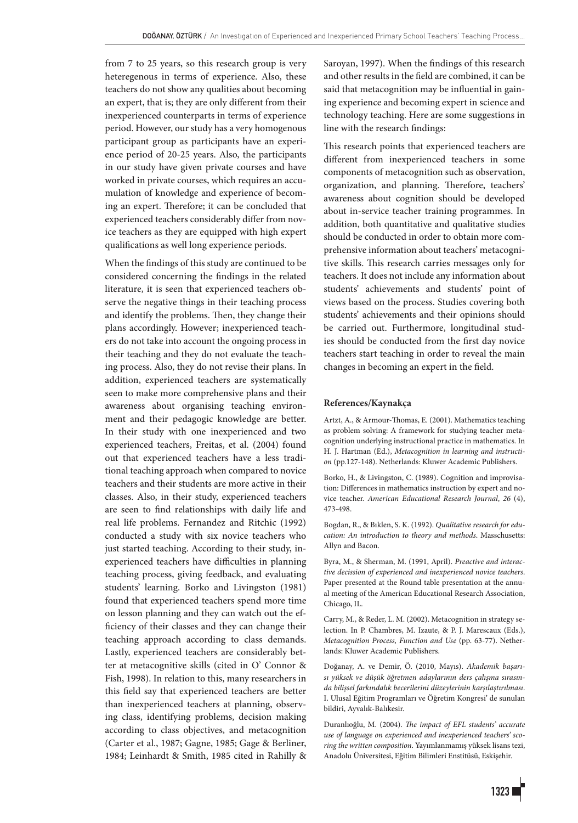from 7 to 25 years, so this research group is very heteregenous in terms of experience. Also, these teachers do not show any qualities about becoming an expert, that is; they are only different from their inexperienced counterparts in terms of experience period. However, our study has a very homogenous participant group as participants have an experience period of 20-25 years. Also, the participants in our study have given private courses and have worked in private courses, which requires an accumulation of knowledge and experience of becoming an expert. Therefore; it can be concluded that experienced teachers considerably differ from novice teachers as they are equipped with high expert qualifications as well long experience periods.

When the findings of this study are continued to be considered concerning the findings in the related literature, it is seen that experienced teachers observe the negative things in their teaching process and identify the problems. Then, they change their plans accordingly. However; inexperienced teachers do not take into account the ongoing process in their teaching and they do not evaluate the teaching process. Also, they do not revise their plans. In addition, experienced teachers are systematically seen to make more comprehensive plans and their awareness about organising teaching environment and their pedagogic knowledge are better. In their study with one inexperienced and two experienced teachers, Freitas, et al. (2004) found out that experienced teachers have a less traditional teaching approach when compared to novice teachers and their students are more active in their classes. Also, in their study, experienced teachers are seen to find relationships with daily life and real life problems. Fernandez and Ritchic (1992) conducted a study with six novice teachers who just started teaching. According to their study, inexperienced teachers have difficulties in planning teaching process, giving feedback, and evaluating students' learning. Borko and Livingston (1981) found that experienced teachers spend more time on lesson planning and they can watch out the efficiency of their classes and they can change their teaching approach according to class demands. Lastly, experienced teachers are considerably better at metacognitive skills (cited in O' Connor & Fish, 1998). In relation to this, many researchers in this field say that experienced teachers are better than inexperienced teachers at planning, observing class, identifying problems, decision making according to class objectives, and metacognition (Carter et al., 1987; Gagne, 1985; Gage & Berliner, 1984; Leinhardt & Smith, 1985 cited in Rahilly & Saroyan, 1997). When the findings of this research and other results in the field are combined, it can be said that metacognition may be influential in gaining experience and becoming expert in science and technology teaching. Here are some suggestions in line with the research findings:

This research points that experienced teachers are different from inexperienced teachers in some components of metacognition such as observation, organization, and planning. Therefore, teachers' awareness about cognition should be developed about in-service teacher training programmes. In addition, both quantitative and qualitative studies should be conducted in order to obtain more comprehensive information about teachers' metacognitive skills. This research carries messages only for teachers. It does not include any information about students' achievements and students' point of views based on the process. Studies covering both students' achievements and their opinions should be carried out. Furthermore, longitudinal studies should be conducted from the first day novice teachers start teaching in order to reveal the main changes in becoming an expert in the field.

#### **References/Kaynakça**

Artzt, A., & Armour-Thomas, E. (2001). Mathematics teaching as problem solving: A framework for studying teacher metacognition underlying instructional practice in mathematics. In H. J. Hartman (Ed.), *Metacognition in learning and instruction* (pp.127-148). Netherlands: Kluwer Academic Publishers.

Borko, H., & Livingston, C. (1989). Cognition and improvisation: Differences in mathematics instruction by expert and novice teacher. *American Educational Research Journal*, *26* (4), 473-498.

Bogdan, R., & Bıklen, S. K. (1992). *Qualitative research for education: An introduction to theory and methods*. Masschusetts: Allyn and Bacon.

Byra, M., & Sherman, M. (1991, April). *Preactive and interactive decission of experienced and inexperienced novice teachers*. Paper presented at the Round table presentation at the annual meeting of the American Educational Research Association, Chicago, IL.

Carry, M., & Reder, L. M. (2002). Metacognition in strategy selection. In P. Chambres, M. Izaute, & P. J. Marescaux (Eds.), *Metacognition Process, Function and Use* (pp. 63-77). Netherlands: Kluwer Academic Publishers.

Doğanay, A. ve Demir, Ö. (2010, Mayıs). *Akademik başarısı yüksek ve düşük öğretmen adaylarının ders çalışma sırasında bilişsel farkındalık becerilerini düzeylerinin karşılaştırılması*. I. Ulusal Eğitim Programları ve Öğretim Kongresi' de sunulan bildiri, Ayvalık-Balıkesir.

Duranlıoğlu, M. (2004). *The impact of EFL students' accurate use of language on experienced and inexperienced teachers' scoring the written composition*. Yayımlanmamış yüksek lisans tezi, Anadolu Üniversitesi, Eğitim Bilimleri Enstitüsü, Eskişehir.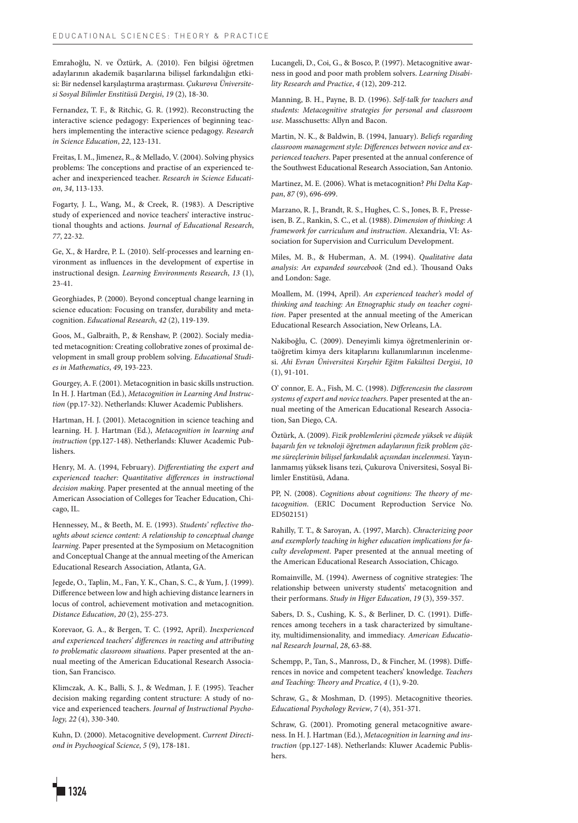Emrahoğlu, N. ve Öztürk, A. (2010). Fen bilgisi öğretmen adaylarının akademik başarılarına bilişsel farkındalığın etkisi: Bir nedensel karşılaştırma araştırması. *Çukurova Üniversitesi Sosyal Bilimler Enstitüsü Dergisi*, *19* (2), 18-30.

Fernandez, T. F., & Ritchic, G. R. (1992). Reconstructing the interactive science pedagogy: Experiences of beginning teachers implementing the interactive science pedagogy. *Research in Science Education*, *22*, 123-131.

Freitas, I. M., Jimenez, R., & Mellado, V. (2004). Solving physics problems: The conceptions and practise of an experienced teacher and inexperienced teacher. *Research in Science Education*, *34*, 113-133.

Fogarty, J. L., Wang, M., & Creek, R. (1983). A Descriptive study of experienced and novice teachers' interactive instructional thoughts and actions. *Journal of Educational Research*, *77*, 22-32.

Ge, X., & Hardre, P. L. (2010). Self-processes and learning environment as influences in the development of expertise in instructional design. *Learning Environments Research*, *13* (1), 23-41.

Georghiades, P. (2000). Beyond conceptual change learning in science education: Focusing on transfer, durability and metacognition. *Educational Research*, *42* (2), 119-139.

Goos, M., Galbraith, P., & Renshaw, P. (2002). Socialy mediated metacognition: Creating collobrative zones of proximal development in small group problem solving. *Educational Studies in Mathematics*, *49*, 193-223.

Gourgey, A. F. (2001). Metacognition in basic skills ınstruction. In H. J. Hartman (Ed.), *Metacognition in Learning And Instruction* (pp.17-32). Netherlands: Kluwer Academic Publishers.

Hartman, H. J. (2001). Metacognition in science teaching and learning. H. J. Hartman (Ed.), *Metacognition in learning and instruction* (pp.127-148). Netherlands: Kluwer Academic Publishers.

Henry, M. A. (1994, February). *Differentiating the expert and experienced teacher: Quantitative differences in instructional decision making*. Paper presented at the annual meeting of the American Association of Colleges for Teacher Education, Chicago, IL.

Hennessey, M., & Beeth, M. E. (1993). *Students' reflective thoughts about science content: A relationship to conceptual change learning*. Paper presented at the Symposium on Metacognition and Conceptual Change at the annual meeting of the American Educational Research Association, Atlanta, GA.

Jegede, O., Taplin, M., Fan, Y. K., Chan, S. C., & Yum, J. (1999). Difference between low and high achieving distance learners in locus of control, achievement motivation and metacognition. *Distance Education*, *20* (2), 255-273.

Korevaor, G. A., & Bergen, T. C. (1992, April). *Inexperienced and experienced teachers' differences in reacting and attributing to problematic classroom situations*. Paper presented at the annual meeting of the American Educational Research Association, San Francisco.

Klimczak, A. K., Balli, S. J., & Wedman, J. F. (1995). Teacher decision making regarding content structure: A study of novice and experienced teachers. *Journal of Instructional Psychology, 22* (4), 330-340.

Kuhn, D. (2000). Metacognitive development. *Current Directiond in Psychoogical Science*, *5* (9), 178-181.

1324

Lucangeli, D., Coi, G., & Bosco, P. (1997). Metacognitive awarness in good and poor math problem solvers. *Learning Disability Research and Practice*, *4* (12), 209-212.

Manning, B. H., Payne, B. D. (1996). *Self-talk for teachers and students: Metacognitive strategies for personal and classroom use*. Masschusetts: Allyn and Bacon.

Martin, N. K., & Baldwin, B. (1994, January). *Beliefs regarding classroom management style: Differences between novice and experienced teachers*. Paper presented at the annual conference of the Southwest Educational Research Association, San Antonio.

Martinez, M. E. (2006). What is metacognition? *Phi Delta Kappan*, *87* (9), 696-699.

Marzano, R. J., Brandt, R. S., Hughes, C. S., Jones, B. F., Presseisen, B. Z., Rankin, S. C., et al. (1988). *Dimension of thinking: A framework for curriculum and instruction*. Alexandria, VI: Association for Supervision and Curriculum Development.

Miles, M. B., & Huberman, A. M. (1994). *Qualitative data analysis: An expanded sourcebook* (2nd ed.). Thousand Oaks and London: Sage.

Moallem, M. (1994, April). *An experienced teacher's model of thinking and teaching: An Etnographic study on teacher cognition*. Paper presented at the annual meeting of the American Educational Research Association, New Orleans, LA.

Nakiboğlu, C. (2009). Deneyimli kimya öğretmenlerinin ortaöğretim kimya ders kitaplarını kullanımlarının incelenmesi. *Ahi Evran Üniversitesi Kırşehir Eğitm Fakültesi Dergisi*, *10* (1), 91-101.

O' connor, E. A., Fish, M. C. (1998). *Differencesin the classrom systems of expert and novice teachers*. Paper presented at the annual meeting of the American Educational Research Association, San Diego, CA.

Öztürk, A. (2009). *Fizik problemlerini çözmede yüksek ve düşük başarılı fen ve teknoloji öğretmen adaylarının fizik problem çözme süreçlerinin bilişsel farkındalık açısından incelenmesi*. Yayınlanmamış yüksek lisans tezi, Çukurova Üniversitesi, Sosyal Bilimler Enstitüsü, Adana.

PP, N. (2008). *Cognitions about cognitions: The theory of metacognition*. (ERIC Document Reproduction Service No. ED502151)

Rahilly, T. T., & Saroyan, A. (1997, March). *Chracterizing poor and exemplorly teaching in higher education implications for faculty development*. Paper presented at the annual meeting of the American Educational Research Association, Chicago.

Romainville, M. (1994). Awerness of cognitive strategies: The relationship between universty students' metacognition and their performans. *Study in Higer Education*, *19* (3), 359-357.

Sabers, D. S., Cushing, K. S., & Berliner, D. C. (1991). Differences among tecehers in a task characterized by simultaneity, multidimensionality, and immediacy. *American Educational Research Journal*, *28*, 63-88.

Schempp, P., Tan, S., Manross, D., & Fincher, M. (1998). Differences in novice and competent teachers' knowledge. *Teachers and Teaching: Theory and Prcatice*, *4* (1), 9-20.

Schraw, G., & Moshman, D. (1995). Metacognitive theories. *Educational Psychology Review*, *7* (4), 351-371.

Schraw, G. (2001). Promoting general metacognitive awareness. In H. J. Hartman (Ed.), *Metacognition in learning and instruction* (pp.127-148). Netherlands: Kluwer Academic Publishers.